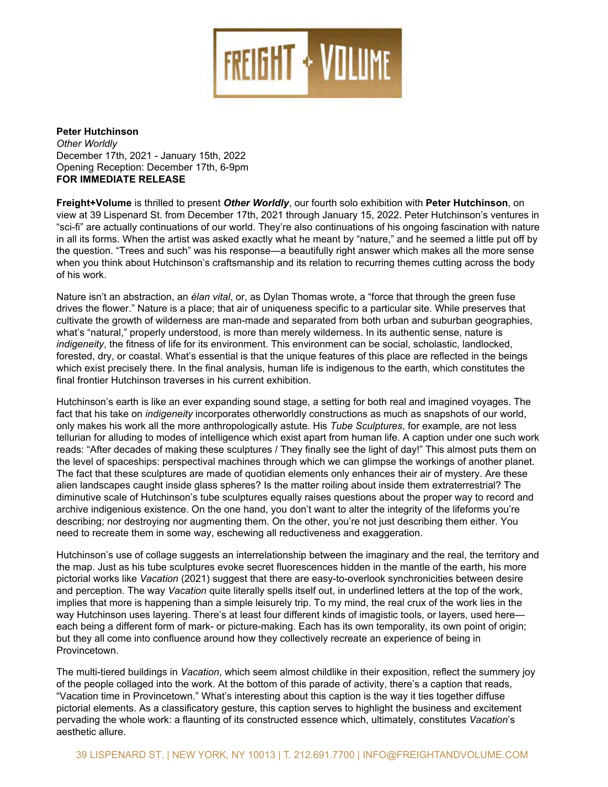

## **Peter Hutchinson** *Other Worldly* December 17th, 2021 - January 15th, 2022 Opening Reception: December 17th, 6-9pm **FOR IMMEDIATE RELEASE**

**Freight+Volume** is thrilled to present *Other Worldly*, our fourth solo exhibition with **Peter Hutchinson**, on view at 39 Lispenard St. from December 17th, 2021 through January 15, 2022. Peter Hutchinson's ventures in "sci-fi" are actually continuations of our world. They're also continuations of his ongoing fascination with nature in all its forms. When the artist was asked exactly what he meant by "nature," and he seemed a little put off by the question. "Trees and such" was his response—a beautifully right answer which makes all the more sense when you think about Hutchinson's craftsmanship and its relation to recurring themes cutting across the body of his work.

Nature isn't an abstraction, an *élan vital*, or, as Dylan Thomas wrote, a "force that through the green fuse drives the flower." Nature is a place; that air of uniqueness specific to a particular site. While preserves that cultivate the growth of wilderness are man-made and separated from both urban and suburban geographies, what's "natural," properly understood, is more than merely wilderness. In its authentic sense, nature is *indigeneity*, the fitness of life for its environment. This environment can be social, scholastic, landlocked, forested, dry, or coastal. What's essential is that the unique features of this place are reflected in the beings which exist precisely there. In the final analysis, human life is indigenous to the earth, which constitutes the final frontier Hutchinson traverses in his current exhibition.

Hutchinson's earth is like an ever expanding sound stage, a setting for both real and imagined voyages. The fact that his take on *indigeneity* incorporates otherworldly constructions as much as snapshots of our world, only makes his work all the more anthropologically astute. His *Tube Sculptures*, for example, are not less tellurian for alluding to modes of intelligence which exist apart from human life. A caption under one such work reads: "After decades of making these sculptures / They finally see the light of day!" This almost puts them on the level of spaceships: perspectival machines through which we can glimpse the workings of another planet. The fact that these sculptures are made of quotidian elements only enhances their air of mystery. Are these alien landscapes caught inside glass spheres? Is the matter roiling about inside them extraterrestrial? The diminutive scale of Hutchinson's tube sculptures equally raises questions about the proper way to record and archive indigenious existence. On the one hand, you don't want to alter the integrity of the lifeforms you're describing; nor destroying nor augmenting them. On the other, you're not just describing them either. You need to recreate them in some way, eschewing all reductiveness and exaggeration.

Hutchinson's use of collage suggests an interrelationship between the imaginary and the real, the territory and the map. Just as his tube sculptures evoke secret fluorescences hidden in the mantle of the earth, his more pictorial works like *Vacation* (2021) suggest that there are easy-to-overlook synchronicities between desire and perception. The way *Vacation* quite literally spells itself out, in underlined letters at the top of the work, implies that more is happening than a simple leisurely trip. To my mind, the real crux of the work lies in the way Hutchinson uses layering. There's at least four different kinds of imagistic tools, or layers, used here each being a different form of mark- or picture-making. Each has its own temporality, its own point of origin; but they all come into confluence around how they collectively recreate an experience of being in Provincetown.

The multi-tiered buildings in *Vacation*, which seem almost childlike in their exposition, reflect the summery joy of the people collaged into the work. At the bottom of this parade of activity, there's a caption that reads, "Vacation time in Provincetown." What's interesting about this caption is the way it ties together diffuse pictorial elements. As a classificatory gesture, this caption serves to highlight the business and excitement pervading the whole work: a flaunting of its constructed essence which, ultimately, constitutes *Vacation*'s aesthetic allure.